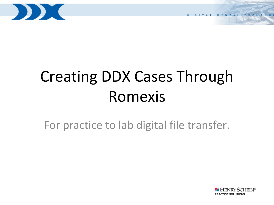

# Creating DDX Cases Through Romexis

For practice to lab digital file transfer.

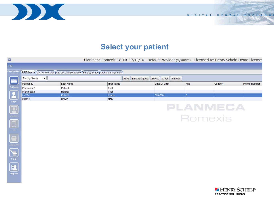

DIGITAL DENTAL EXCHANGE

# **Select your patient**

|                                   |                                                                                 | Planmeca Romexis 3.8.3.R 17/12/14 - Default Provider (sysadm) - Licensed to: Henry Schein Demo License |                            |              |                 |                     |
|-----------------------------------|---------------------------------------------------------------------------------|--------------------------------------------------------------------------------------------------------|----------------------------|--------------|-----------------|---------------------|
|                                   |                                                                                 |                                                                                                        |                            |              |                 |                     |
| <b>ILANMEC/</b><br>Romexis        | All Patients DICOM Worklist DICOM Query/Retrieve Find by Image Cloud Management |                                                                                                        |                            |              |                 |                     |
| $\blacksquare$<br>Find by Name    |                                                                                 | Find Find Assigned                                                                                     | Clear<br>Select<br>Refresh |              |                 |                     |
| <b>Person ID</b>                  | <b>Last Name</b>                                                                | <b>First Name</b>                                                                                      | <b>Date Of Birth</b>       | Age          | Gender          | <b>Phone Number</b> |
| Patients<br>Planmeca <sub>2</sub> | Patient                                                                         | Test                                                                                                   |                            |              |                 |                     |
| Planmeca4                         | Monitor                                                                         | Test                                                                                                   |                            |              |                 |                     |
| <b>LK234</b>                      | Kobold                                                                          | Lynda                                                                                                  | 09/05/14                   | $\mathbf{0}$ |                 |                     |
| <b>MB112</b>                      | Brown                                                                           | Mary                                                                                                   |                            |              |                 |                     |
|                                   |                                                                                 |                                                                                                        |                            |              | <b>PLANMECA</b> |                     |
|                                   |                                                                                 |                                                                                                        |                            |              | Romexis         |                     |
|                                   |                                                                                 |                                                                                                        |                            |              |                 |                     |
|                                   |                                                                                 |                                                                                                        |                            |              |                 |                     |
| Report                            |                                                                                 |                                                                                                        |                            |              |                 |                     |

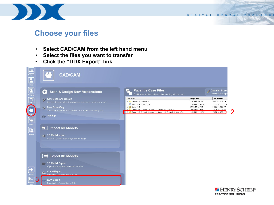

#### DIGITAL DENTAL EXCHANGE

## **Choose your files**

- **Select CAD/CAM from the left hand menu**
- **Select the files you want to transfer**
- **Click the "DDX Export" link**



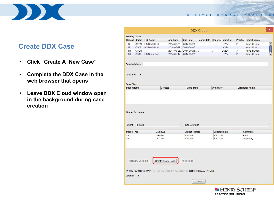

## **Create DDX Case**

- **Click "Create A New Case"**
- **Complete the DDX Case in the web browser that opens**
- **Leave DDX Cloud window open in the background during case creation**

| <b>Existing Cases</b><br>Practi<br><b>Lab Name</b><br><b>Add Date</b><br><b>Cancel date</b><br>Cance<br><b>Patient id</b><br><b>Upd Date</b><br>OPEN<br><b>HS Dental Lab</b><br>2014-05-23 2014-05-28<br>LK234<br>$\overline{c}$<br>Ω.<br>$\overline{2}$<br>CLOS HS Dental Lab<br>2014-05-28 2014-06-05<br><b>LK234</b><br><br>OPEN<br>2014-09-26 2014-09-26<br>LK234<br>3<br>$\cdots$<br>2014-05-14 2014-05-23<br>$\overline{2}$<br>CLOS HS Demo Lab<br><b>LK234</b><br>a.<br>×<br>Created<br><b>Mime Type</b><br>Originator<br><b>Originator Name</b> |  |  |  |  |                     |
|---------------------------------------------------------------------------------------------------------------------------------------------------------------------------------------------------------------------------------------------------------------------------------------------------------------------------------------------------------------------------------------------------------------------------------------------------------------------------------------------------------------------------------------------------------|--|--|--|--|---------------------|
| Case id Status<br>114<br>119<br>1318                                                                                                                                                                                                                                                                                                                                                                                                                                                                                                                    |  |  |  |  |                     |
|                                                                                                                                                                                                                                                                                                                                                                                                                                                                                                                                                         |  |  |  |  | <b>Patient Name</b> |
|                                                                                                                                                                                                                                                                                                                                                                                                                                                                                                                                                         |  |  |  |  | Kobold, Lynda       |
|                                                                                                                                                                                                                                                                                                                                                                                                                                                                                                                                                         |  |  |  |  | Kobold, Lynda       |
| 1376<br>Selected Case<br>Case Info<br><b>Case Files</b><br><b>Image Name</b>                                                                                                                                                                                                                                                                                                                                                                                                                                                                            |  |  |  |  | Kobold, Lynda       |
|                                                                                                                                                                                                                                                                                                                                                                                                                                                                                                                                                         |  |  |  |  | Kobold, Lynda       |
|                                                                                                                                                                                                                                                                                                                                                                                                                                                                                                                                                         |  |  |  |  |                     |
|                                                                                                                                                                                                                                                                                                                                                                                                                                                                                                                                                         |  |  |  |  |                     |
|                                                                                                                                                                                                                                                                                                                                                                                                                                                                                                                                                         |  |  |  |  |                     |
| LK234<br>Kobold Lynda                                                                                                                                                                                                                                                                                                                                                                                                                                                                                                                                   |  |  |  |  |                     |
| Shared Accounts <b>%</b><br><b>Comment</b><br><b>Image Type</b><br>Size (KB)<br><b>Exposure Date</b><br><b>Updated date</b>                                                                                                                                                                                                                                                                                                                                                                                                                             |  |  |  |  |                     |
| 18305.0<br>20/01/15<br>20/01/15<br>Prep<br>23522.0<br>20/01/15<br>20/01/15<br>Opposing                                                                                                                                                                                                                                                                                                                                                                                                                                                                  |  |  |  |  |                     |
| Surf<br>Surf<br>Get New Case Info<br>Add File(s)<br>Create A New Case                                                                                                                                                                                                                                                                                                                                                                                                                                                                                   |  |  |  |  |                     |
| Patient<br>O STL (3D Models Only) O PLY (3D Models + ICE View) O Native PlanCAD (All Data)<br>Log List                                                                                                                                                                                                                                                                                                                                                                                                                                                  |  |  |  |  |                     |
| $\boldsymbol{\mathsf{x}}$<br>Close                                                                                                                                                                                                                                                                                                                                                                                                                                                                                                                      |  |  |  |  |                     |

HENRY SCHEIN® **PRACTICE SOLUTIONS** 

DIGITAL DENTAL EXCHANGE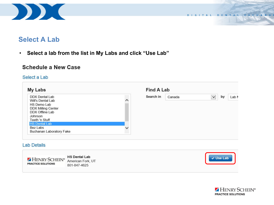

### **Select A Lab**

• **Select a lab from the list in My Labs and click "Use Lab"**

#### **Schedule a New Case**

#### Select a Lab

| <b>My Labs</b>                      |   | <b>Find A Lab</b> |        |              |    |       |
|-------------------------------------|---|-------------------|--------|--------------|----|-------|
| DDX Dental Lab<br>Will's Dental Lab |   | Search in         | Canada | $\checkmark$ | by | Lab N |
| HS Demo Lab                         |   |                   |        |              |    |       |
| <b>DDX Milling Center</b>           |   |                   |        |              |    |       |
| DDX Offline Lab                     |   |                   |        |              |    |       |
| Johnson                             |   |                   |        |              |    |       |
| Teeth 'n Stuff                      |   |                   |        |              |    |       |
| <b>HS Dental Lab</b>                |   |                   |        |              |    |       |
| <b>Bez Labs</b>                     | v |                   |        |              |    |       |
| Buchanan Laboratory Fake            |   |                   |        |              |    |       |

#### **Lab Details**



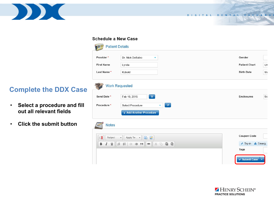

DIGITAL DENTAL EXCHANGE

#### **Schedule a New Case**

| Provider*                          | Dr. Nick DeSalvo<br>۰                                                                                                                                                                                  | Gender                 |
|------------------------------------|--------------------------------------------------------------------------------------------------------------------------------------------------------------------------------------------------------|------------------------|
| <b>First Name</b>                  | Lynda                                                                                                                                                                                                  | <b>Patient Chart</b>   |
| Last Name*                         | Kobold                                                                                                                                                                                                 | <b>Birth Date</b>      |
|                                    | <b>Work Requested</b>                                                                                                                                                                                  |                        |
| Send Date *                        | $\bullet$<br>Feb 10, 2015                                                                                                                                                                              | <b>Enclosures</b>      |
| Procedure *                        | $\langle \mathbf{p} \rangle$<br><b>Select Procedure</b><br>÷.                                                                                                                                          |                        |
|                                    | + Add Another Procedure                                                                                                                                                                                |                        |
| <b>Notes</b>                       |                                                                                                                                                                                                        |                        |
| $\mathbb{Z}$<br>Subject            | 国<br>$\mathscr{L}$<br>Apply Te -<br>$\overline{\phantom{a}}$                                                                                                                                           | <b>Coupon Code</b>     |
| В<br>$\underline{\mathsf{U}}$<br>I | $\overline{\mathbb{D}}$<br>$\ddot{\mathbf{e}}$<br>$\mathbb{G}$<br>$\begin{matrix} 1 \equiv & \bullet \equiv \\ \bullet \equiv & \bullet \end{matrix}$<br>$\aleph$<br>非 拒 99<br>$\qquad \qquad \otimes$ | Try-in <b>A</b> Emerg. |
|                                    |                                                                                                                                                                                                        | Tags                   |



# **Complete the DDX Case**

- **Select a procedure and fill out all relevant fields**
- **Click the submit button**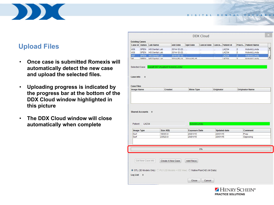

## **Upload Files**

- **Once case is submitted Romexis will automatically detect the new case and upload the selected files.**
- **Uploading progress is indicated by the progress bar at the bottom of the DDX Cloud window highlighted in this picture**
- **The DDX Cloud window will close automatically when complete**

| <b>Existing Cases</b>        |                          |                      |                   |                       |                    |                      |                         |                |                        |  |
|------------------------------|--------------------------|----------------------|-------------------|-----------------------|--------------------|----------------------|-------------------------|----------------|------------------------|--|
|                              | <b>Case id Status</b>    | <b>Lab Name</b>      | <b>Add Date</b>   | <b>Upd Date</b>       | <b>Cancel date</b> |                      | <b>Cance</b> Patient id | Practi         | <b>Patient Name</b>    |  |
| 438                          | <b>OPEN</b>              | <b>HS Dental Lab</b> | 2014-12-22        |                       | Ω.                 | Щ,                   | LK234                   | $\overline{2}$ | Kobold, Lynda          |  |
| 438                          | <b>OPEN</b>              | <b>HS Dental Lab</b> | 2014-12-22        |                       | ă.                 | ä.                   | <b>LK234</b>            | $\overline{c}$ | Kobold, Lynda          |  |
| 567                          | <b>OPEN</b>              | <b>HS Dental Lab</b> | 2015-02-10        |                       |                    |                      | <b>LK234</b>            | $\overline{2}$ | Kobold, Lynda          |  |
| 95                           | <b>OPEN</b>              | HR Dental Lah        |                   | 2014-05-14 2014-05-15 |                    |                      | 1K22A                   | $\overline{2}$ | Kohold Lynda           |  |
| Case Info                    | ¥                        |                      |                   |                       |                    |                      |                         |                |                        |  |
| <b>Case Files</b>            |                          |                      |                   |                       |                    |                      |                         |                |                        |  |
| <b>Image Name</b>            |                          |                      | Created           | <b>Mime Type</b>      |                    | Originator           |                         |                | <b>Originator Name</b> |  |
|                              | Shared Accounts <b>%</b> |                      |                   |                       |                    |                      |                         |                |                        |  |
|                              | <b>LK234</b>             |                      |                   | Kobold Lynda          |                    |                      |                         |                |                        |  |
| Patient<br><b>Image Type</b> |                          | Size (KB)            |                   | <b>Exposure Date</b>  |                    |                      | <b>Updated date</b>     |                | <b>Comment</b>         |  |
| Surf<br>Surf                 |                          | 18305.0<br>23522.0   |                   | 20/01/15<br>20/01/15  |                    | 20/01/15<br>20/01/15 |                         |                | Prep                   |  |
|                              |                          |                      |                   |                       |                    |                      |                         |                | Opposing               |  |
|                              |                          |                      |                   |                       | 0%                 |                      |                         |                |                        |  |
|                              | Get New Case Info        |                      | Create A New Case | Add File(s)           |                    |                      |                         |                |                        |  |

DIGITAL DENTAL EXCHANG

HENRY SCHEIN® **PRACTICE SOLUTIONS**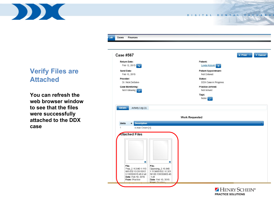

# **Verify Files are Attached**

**You can refresh the web browser window to see that the files were successfully attached to the DDX case**

| <b>Case #567</b>                                                                       |   |                                                          | <b>a</b> Print -<br>× Cancel |
|----------------------------------------------------------------------------------------|---|----------------------------------------------------------|------------------------------|
| <b>Return Date:</b><br>Feb 12, 2015                                                    |   | Patient:<br>Lynda Kobold<br>$\bullet$                    |                              |
| Send Date:<br>Feb 10, 2015                                                             |   | <b>Patient Appointment:</b><br>Not Entered               |                              |
| Provider:<br>Dr. Nick DeSalvo                                                          |   | Status:<br>DDX Case in Progress                          |                              |
| <b>Case Monitoring:</b><br>Not Following                                               |   | <b>Practice Arrived:</b><br>Not Arrived<br>Tags:<br>None |                              |
|                                                                                        |   | <b>Work Requested</b>                                    |                              |
| <b>Description</b><br><b>Units</b><br>$\Rightarrow$<br>$\mathbf{1}$<br>e.max Crown [+] |   |                                                          |                              |
| <b>Attached Files</b>                                                                  |   |                                                          |                              |
|                                                                                        |   |                                                          |                              |
| 6                                                                                      | 6 |                                                          |                              |

HENRY SCHEIN® **PRACTICE SOLUTIONS** 

DIGITAL DENTAL EXCHANGE